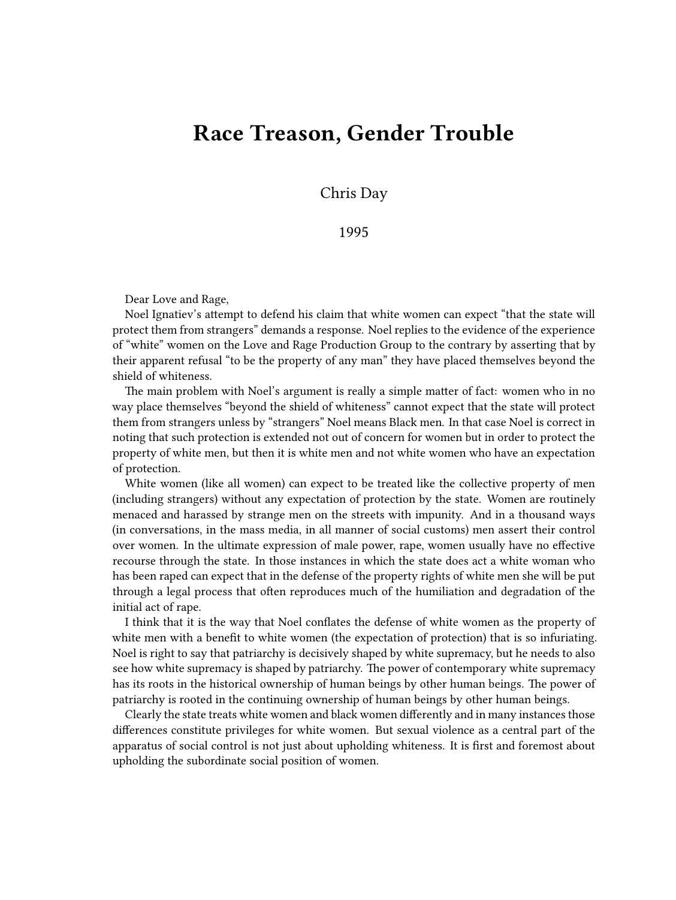## **Race Treason, Gender Trouble**

Chris Day

1995

Dear Love and Rage,

Noel Ignatiev's attempt to defend his claim that white women can expect "that the state will protect them from strangers" demands a response. Noel replies to the evidence of the experience of "white" women on the Love and Rage Production Group to the contrary by asserting that by their apparent refusal "to be the property of any man" they have placed themselves beyond the shield of whiteness.

The main problem with Noel's argument is really a simple matter of fact: women who in no way place themselves "beyond the shield of whiteness" cannot expect that the state will protect them from strangers unless by "strangers" Noel means Black men. In that case Noel is correct in noting that such protection is extended not out of concern for women but in order to protect the property of white men, but then it is white men and not white women who have an expectation of protection.

White women (like all women) can expect to be treated like the collective property of men (including strangers) without any expectation of protection by the state. Women are routinely menaced and harassed by strange men on the streets with impunity. And in a thousand ways (in conversations, in the mass media, in all manner of social customs) men assert their control over women. In the ultimate expression of male power, rape, women usually have no effective recourse through the state. In those instances in which the state does act a white woman who has been raped can expect that in the defense of the property rights of white men she will be put through a legal process that often reproduces much of the humiliation and degradation of the initial act of rape.

I think that it is the way that Noel conflates the defense of white women as the property of white men with a benefit to white women (the expectation of protection) that is so infuriating. Noel is right to say that patriarchy is decisively shaped by white supremacy, but he needs to also see how white supremacy is shaped by patriarchy. The power of contemporary white supremacy has its roots in the historical ownership of human beings by other human beings. The power of patriarchy is rooted in the continuing ownership of human beings by other human beings.

Clearly the state treats white women and black women differently and in many instances those differences constitute privileges for white women. But sexual violence as a central part of the apparatus of social control is not just about upholding whiteness. It is first and foremost about upholding the subordinate social position of women.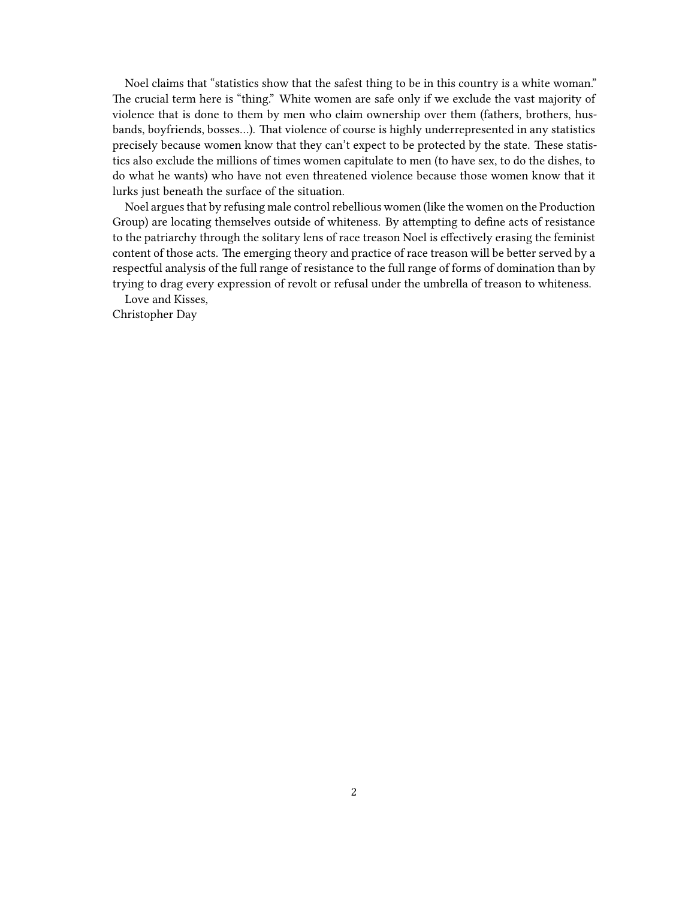Noel claims that "statistics show that the safest thing to be in this country is a white woman." The crucial term here is "thing." White women are safe only if we exclude the vast majority of violence that is done to them by men who claim ownership over them (fathers, brothers, husbands, boyfriends, bosses…). That violence of course is highly underrepresented in any statistics precisely because women know that they can't expect to be protected by the state. These statistics also exclude the millions of times women capitulate to men (to have sex, to do the dishes, to do what he wants) who have not even threatened violence because those women know that it lurks just beneath the surface of the situation.

Noel argues that by refusing male control rebellious women (like the women on the Production Group) are locating themselves outside of whiteness. By attempting to define acts of resistance to the patriarchy through the solitary lens of race treason Noel is effectively erasing the feminist content of those acts. The emerging theory and practice of race treason will be better served by a respectful analysis of the full range of resistance to the full range of forms of domination than by trying to drag every expression of revolt or refusal under the umbrella of treason to whiteness.

Love and Kisses, Christopher Day